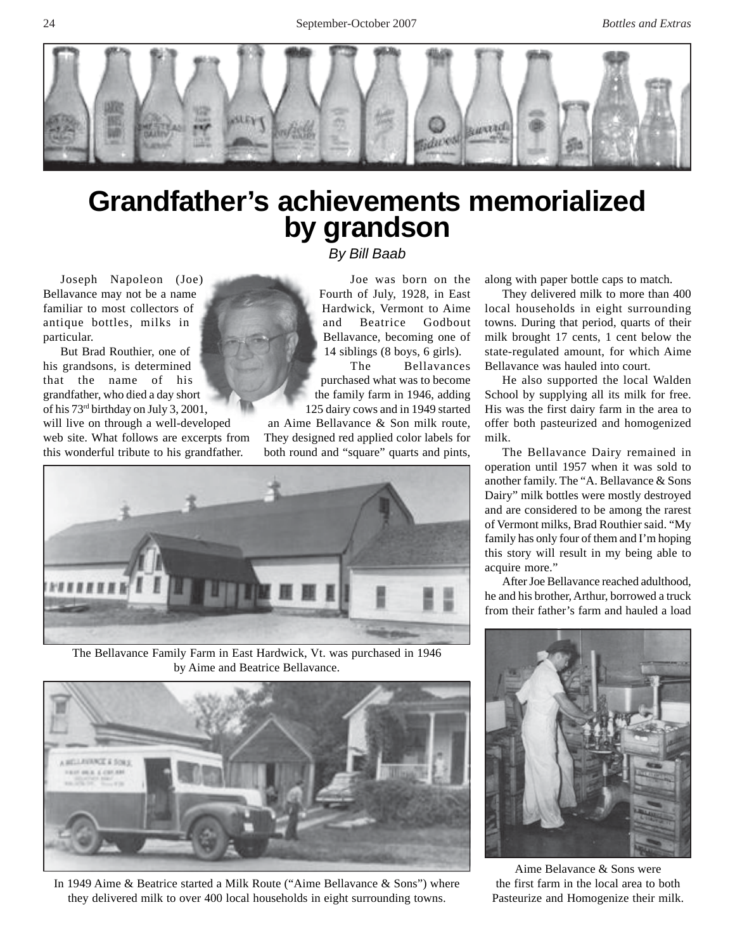

## **Grandfather's achievements memorialized by grandson**

*By Bill Baab*

Joseph Napoleon (Joe) Bellavance may not be a name familiar to most collectors of antique bottles, milks in

particular. But Brad Routhier, one of his grandsons, is determined that the name of his grandfather, who died a day short of his 73rd birthday on July 3, 2001,

will live on through a well-developed web site. What follows are excerpts from this wonderful tribute to his grandfather.

Joe was born on the Fourth of July, 1928, in East Hardwick, Vermont to Aime and Beatrice Godbout Bellavance, becoming one of 14 siblings (8 boys, 6 girls).

The Bellavances purchased what was to become the family farm in 1946, adding 125 dairy cows and in 1949 started

an Aime Bellavance & Son milk route, They designed red applied color labels for both round and "square" quarts and pints,



The Bellavance Family Farm in East Hardwick, Vt. was purchased in 1946 by Aime and Beatrice Bellavance.



In 1949 Aime & Beatrice started a Milk Route ("Aime Bellavance & Sons") where they delivered milk to over 400 local households in eight surrounding towns.

along with paper bottle caps to match.

They delivered milk to more than 400 local households in eight surrounding towns. During that period, quarts of their milk brought 17 cents, 1 cent below the state-regulated amount, for which Aime Bellavance was hauled into court.

He also supported the local Walden School by supplying all its milk for free. His was the first dairy farm in the area to offer both pasteurized and homogenized milk.

The Bellavance Dairy remained in operation until 1957 when it was sold to another family. The "A. Bellavance & Sons Dairy" milk bottles were mostly destroyed and are considered to be among the rarest of Vermont milks, Brad Routhier said. "My family has only four of them and I'm hoping this story will result in my being able to acquire more."

After Joe Bellavance reached adulthood, he and his brother, Arthur, borrowed a truck from their father's farm and hauled a load



Aime Belavance & Sons were the first farm in the local area to both Pasteurize and Homogenize their milk.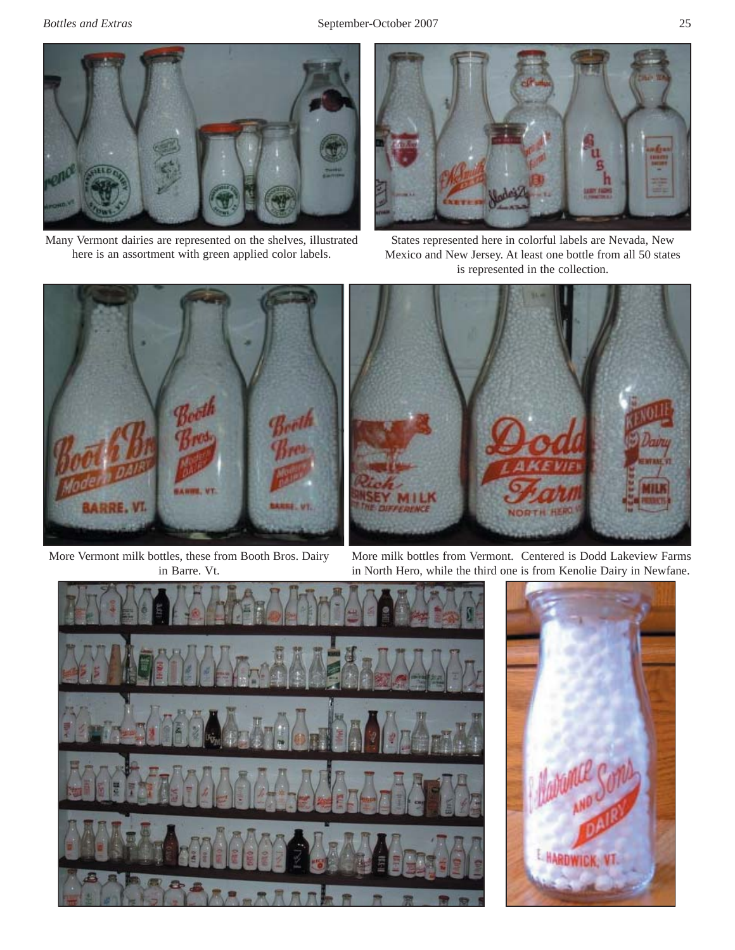

Many Vermont dairies are represented on the shelves, illustrated here is an assortment with green applied color labels.



States represented here in colorful labels are Nevada, New Mexico and New Jersey. At least one bottle from all 50 states is represented in the collection.



More Vermont milk bottles, these from Booth Bros. Dairy in Barre. Vt.

More milk bottles from Vermont. Centered is Dodd Lakeview Farms in North Hero, while the third one is from Kenolie Dairy in Newfane.